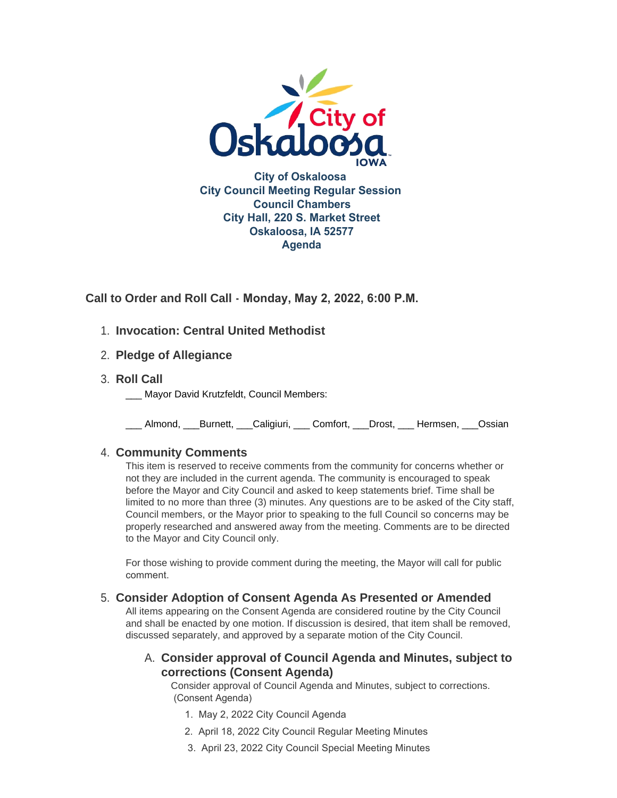

**Call to Order and Roll Call - Monday, May 2, 2022, 6:00 P.M.** 

- **Invocation: Central United Methodist** 1.
- **Pledge of Allegiance** 2.
- **Roll Call** 3.
	- Mayor David Krutzfeldt, Council Members:

\_\_\_ Almond, \_\_\_Burnett, \_\_\_Caligiuri, \_\_\_ Comfort, \_\_\_Drost, \_\_\_ Hermsen, \_\_\_Ossian

# **Community Comments** 4.

This item is reserved to receive comments from the community for concerns whether or not they are included in the current agenda. The community is encouraged to speak before the Mayor and City Council and asked to keep statements brief. Time shall be limited to no more than three (3) minutes. Any questions are to be asked of the City staff, Council members, or the Mayor prior to speaking to the full Council so concerns may be properly researched and answered away from the meeting. Comments are to be directed to the Mayor and City Council only.

For those wishing to provide comment during the meeting, the Mayor will call for public comment.

# **Consider Adoption of Consent Agenda As Presented or Amended** 5.

All items appearing on the Consent Agenda are considered routine by the City Council and shall be enacted by one motion. If discussion is desired, that item shall be removed, discussed separately, and approved by a separate motion of the City Council.

# **Consider approval of Council Agenda and Minutes, subject to**  A. **corrections (Consent Agenda)**

Consider approval of Council Agenda and Minutes, subject to corrections. (Consent Agenda)

- 1. May 2, 2022 City Council Agenda
- 2. April 18, 2022 City Council Regular Meeting Minutes
- 3. April 23, 2022 City Council Special Meeting Minutes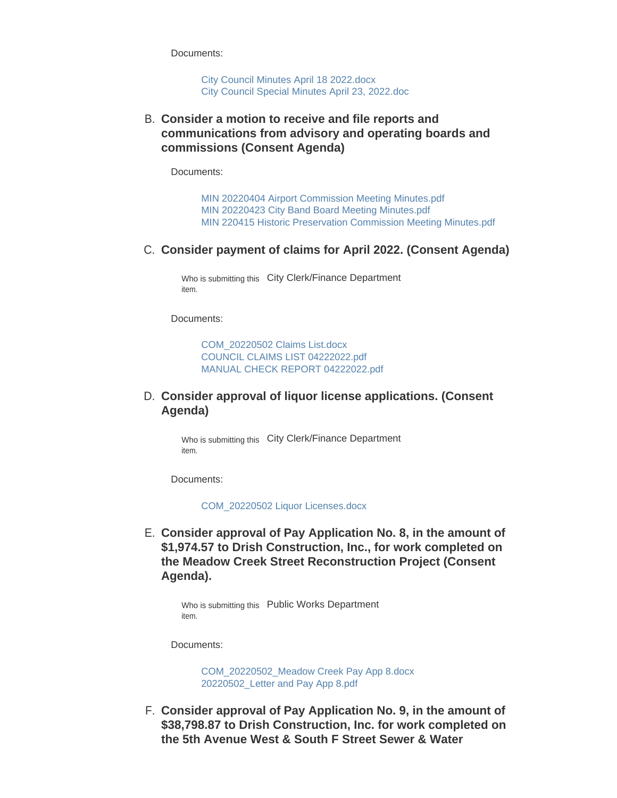Documents:

[City Council Minutes April 18 2022.docx](https://www.oskaloosaiowa.org/AgendaCenter/ViewFile/Item/10141?fileID=26566) [City Council Special Minutes April 23, 2022.doc](https://www.oskaloosaiowa.org/AgendaCenter/ViewFile/Item/10141?fileID=26567)

**Consider a motion to receive and file reports and**  B. **communications from advisory and operating boards and commissions (Consent Agenda)**

Documents:

[MIN 20220404 Airport Commission Meeting Minutes.pdf](https://www.oskaloosaiowa.org/AgendaCenter/ViewFile/Item/10154?fileID=26597) [MIN 20220423 City Band Board Meeting Minutes.pdf](https://www.oskaloosaiowa.org/AgendaCenter/ViewFile/Item/10154?fileID=26598) [MIN 220415 Historic Preservation Commission Meeting Minutes.pdf](https://www.oskaloosaiowa.org/AgendaCenter/ViewFile/Item/10154?fileID=26599)

#### **C. Consider payment of claims for April 2022. (Consent Agenda)**

Who is submitting this City Clerk/Finance Department item.

Documents:

[COM\\_20220502 Claims List.docx](https://www.oskaloosaiowa.org/AgendaCenter/ViewFile/Item/10107?fileID=26523) [COUNCIL CLAIMS LIST 04222022.pdf](https://www.oskaloosaiowa.org/AgendaCenter/ViewFile/Item/10107?fileID=26524) [MANUAL CHECK REPORT 04222022.pdf](https://www.oskaloosaiowa.org/AgendaCenter/ViewFile/Item/10107?fileID=26525)

### **Consider approval of liquor license applications. (Consent**  D. **Agenda)**

Who is submitting this City Clerk/Finance Department item.

Documents:

[COM\\_20220502 Liquor Licenses.docx](https://www.oskaloosaiowa.org/AgendaCenter/ViewFile/Item/10108?fileID=26526)

**Consider approval of Pay Application No. 8, in the amount of**  E. **\$1,974.57 to Drish Construction, Inc., for work completed on the Meadow Creek Street Reconstruction Project (Consent Agenda).**

> Who is submitting this Public Works Department item.

Documents:

[COM\\_20220502\\_Meadow Creek Pay App 8.docx](https://www.oskaloosaiowa.org/AgendaCenter/ViewFile/Item/10122?fileID=26535) [20220502\\_Letter and Pay App 8.pdf](https://www.oskaloosaiowa.org/AgendaCenter/ViewFile/Item/10122?fileID=26536)

**Consider approval of Pay Application No. 9, in the amount of**  F. **\$38,798.87 to Drish Construction, Inc. for work completed on the 5th Avenue West & South F Street Sewer & Water**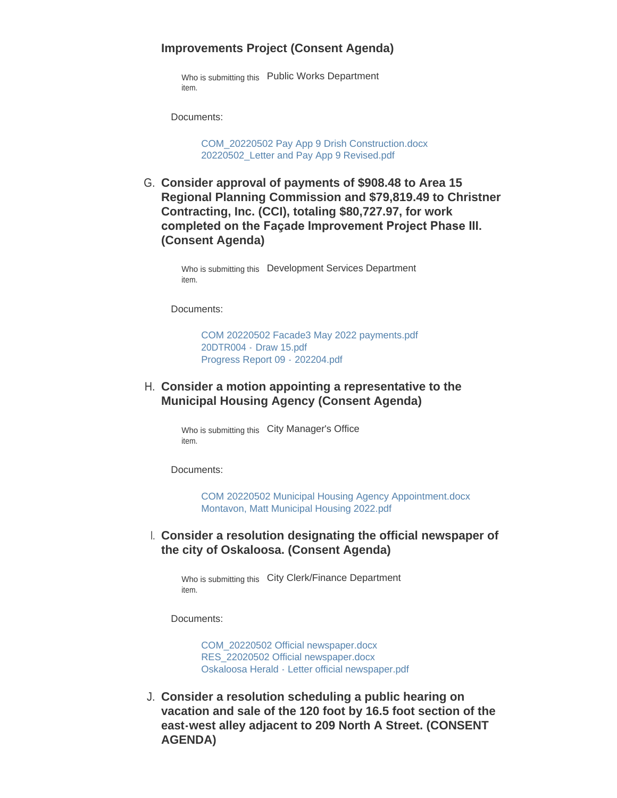#### **Improvements Project (Consent Agenda)**

Who is submitting this Public Works Department item.

Documents:

[COM\\_20220502 Pay App 9 Drish Construction.docx](https://www.oskaloosaiowa.org/AgendaCenter/ViewFile/Item/10125?fileID=26548) [20220502\\_Letter and Pay App 9 Revised.pdf](https://www.oskaloosaiowa.org/AgendaCenter/ViewFile/Item/10125?fileID=26549)

G. Consider approval of payments of \$908.48 to Area 15 **Regional Planning Commission and \$79,819.49 to Christner Contracting, Inc. (CCI), totaling \$80,727.97, for work completed on the Façade Improvement Project Phase III. (Consent Agenda)**

> Who is submitting this Development Services Department item.

Documents:

[COM 20220502 Facade3 May 2022 payments.pdf](https://www.oskaloosaiowa.org/AgendaCenter/ViewFile/Item/9994?fileID=26555) 20DTR004 - [Draw 15.pdf](https://www.oskaloosaiowa.org/AgendaCenter/ViewFile/Item/9994?fileID=26527) [Progress Report 09 -](https://www.oskaloosaiowa.org/AgendaCenter/ViewFile/Item/9994?fileID=26529) 202204.pdf

### **Consider a motion appointing a representative to the**  H. **Municipal Housing Agency (Consent Agenda)**

Who is submitting this City Manager's Office item.

Documents:

[COM 20220502 Municipal Housing Agency Appointment.docx](https://www.oskaloosaiowa.org/AgendaCenter/ViewFile/Item/10126?fileID=26550) [Montavon, Matt Municipal Housing 2022.pdf](https://www.oskaloosaiowa.org/AgendaCenter/ViewFile/Item/10126?fileID=26551)

### **Consider a resolution designating the official newspaper of**  I. **the city of Oskaloosa. (Consent Agenda)**

Who is submitting this City Clerk/Finance Department item.

Documents:

[COM\\_20220502 Official newspaper.docx](https://www.oskaloosaiowa.org/AgendaCenter/ViewFile/Item/10135?fileID=26561) [RES\\_22020502 Official newspaper.docx](https://www.oskaloosaiowa.org/AgendaCenter/ViewFile/Item/10135?fileID=26562) [Oskaloosa Herald - Letter official newspaper.pdf](https://www.oskaloosaiowa.org/AgendaCenter/ViewFile/Item/10135?fileID=26563)

**Consider a resolution scheduling a public hearing on**  J. **vacation and sale of the 120 foot by 16.5 foot section of the east-west alley adjacent to 209 North A Street. (CONSENT AGENDA)**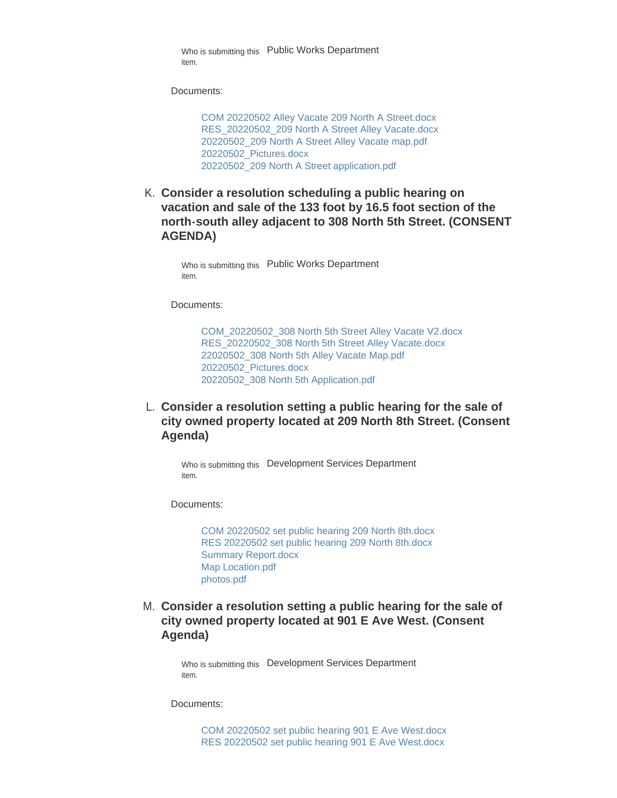Who is submitting this Public Works Department item.

Documents:

[COM 20220502 Alley Vacate 209 North A Street.docx](https://www.oskaloosaiowa.org/AgendaCenter/ViewFile/Item/10123?fileID=26594) [RES\\_20220502\\_209 North A Street Alley Vacate.docx](https://www.oskaloosaiowa.org/AgendaCenter/ViewFile/Item/10123?fileID=26538) [20220502\\_209 North A Street Alley Vacate map.pdf](https://www.oskaloosaiowa.org/AgendaCenter/ViewFile/Item/10123?fileID=26539) [20220502\\_Pictures.docx](https://www.oskaloosaiowa.org/AgendaCenter/ViewFile/Item/10123?fileID=26541) [20220502\\_209 North A Street application.pdf](https://www.oskaloosaiowa.org/AgendaCenter/ViewFile/Item/10123?fileID=26540)

**Consider a resolution scheduling a public hearing on**  K. **vacation and sale of the 133 foot by 16.5 foot section of the north-south alley adjacent to 308 North 5th Street. (CONSENT AGENDA)**

Who is submitting this Public Works Department item.

Documents:

[COM\\_20220502\\_308 North 5th Street Alley Vacate V2.docx](https://www.oskaloosaiowa.org/AgendaCenter/ViewFile/Item/10124?fileID=26543) [RES\\_20220502\\_308 North 5th Street Alley Vacate.docx](https://www.oskaloosaiowa.org/AgendaCenter/ViewFile/Item/10124?fileID=26544) [22020502\\_308 North 5th Alley Vacate Map.pdf](https://www.oskaloosaiowa.org/AgendaCenter/ViewFile/Item/10124?fileID=26545) [20220502\\_Pictures.docx](https://www.oskaloosaiowa.org/AgendaCenter/ViewFile/Item/10124?fileID=26546) [20220502\\_308 North 5th Application.pdf](https://www.oskaloosaiowa.org/AgendaCenter/ViewFile/Item/10124?fileID=26547)

**Consider a resolution setting a public hearing for the sale of**  L. **city owned property located at 209 North 8th Street. (Consent Agenda)**

Who is submitting this Development Services Department item.

Documents:

[COM 20220502 set public hearing 209 North 8th.docx](https://www.oskaloosaiowa.org/AgendaCenter/ViewFile/Item/10119?fileID=26511) [RES 20220502 set public hearing 209 North 8th.docx](https://www.oskaloosaiowa.org/AgendaCenter/ViewFile/Item/10119?fileID=26514) [Summary Report.docx](https://www.oskaloosaiowa.org/AgendaCenter/ViewFile/Item/10119?fileID=26515) [Map Location.pdf](https://www.oskaloosaiowa.org/AgendaCenter/ViewFile/Item/10119?fileID=26512) [photos.pdf](https://www.oskaloosaiowa.org/AgendaCenter/ViewFile/Item/10119?fileID=26513)

**Consider a resolution setting a public hearing for the sale of**  M. **city owned property located at 901 E Ave West. (Consent Agenda)**

> Who is submitting this Development Services Department item.

Documents:

[COM 20220502 set public hearing 901 E Ave West.docx](https://www.oskaloosaiowa.org/AgendaCenter/ViewFile/Item/10118?fileID=26516) [RES 20220502 set public hearing 901 E Ave West.docx](https://www.oskaloosaiowa.org/AgendaCenter/ViewFile/Item/10118?fileID=26520)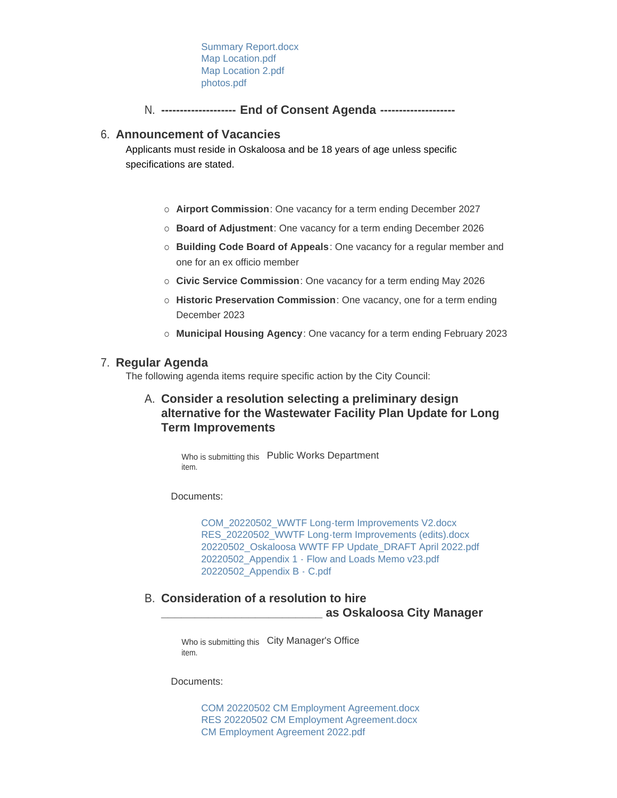[Summary Report.docx](https://www.oskaloosaiowa.org/AgendaCenter/ViewFile/Item/10118?fileID=26521) [Map Location.pdf](https://www.oskaloosaiowa.org/AgendaCenter/ViewFile/Item/10118?fileID=26518) [Map Location 2.pdf](https://www.oskaloosaiowa.org/AgendaCenter/ViewFile/Item/10118?fileID=26517) [photos.pdf](https://www.oskaloosaiowa.org/AgendaCenter/ViewFile/Item/10118?fileID=26519)

**-------------------- End of Consent Agenda --------------------** N.

### **Announcement of Vacancies** 6.

Applicants must reside in Oskaloosa and be 18 years of age unless specific specifications are stated.

- ¡ **Airport Commission**: One vacancy for a term ending December 2027
- ¡ **Board of Adjustment**: One vacancy for a term ending December 2026
- ¡ **Building Code Board of Appeals**: One vacancy for a regular member and one for an ex officio member
- ¡ **Civic Service Commission**: One vacancy for a term ending May 2026
- ¡ **Historic Preservation Commission**: One vacancy, one for a term ending December 2023
- ¡ **Municipal Housing Agency**: One vacancy for a term ending February 2023

## **Regular Agenda** 7.

The following agenda items require specific action by the City Council:

**Consider a resolution selecting a preliminary design**  A. **alternative for the Wastewater Facility Plan Update for Long Term Improvements**

Who is submitting this Public Works Department item.

Documents:

[COM\\_20220502\\_WWTF Long-term Improvements V2.docx](https://www.oskaloosaiowa.org/AgendaCenter/ViewFile/Item/10121?fileID=26530) [RES\\_20220502\\_WWTF Long-term Improvements \(edits\).docx](https://www.oskaloosaiowa.org/AgendaCenter/ViewFile/Item/10121?fileID=26531) [20220502\\_Oskaloosa WWTF FP Update\\_DRAFT April 2022.pdf](https://www.oskaloosaiowa.org/AgendaCenter/ViewFile/Item/10121?fileID=26532) [20220502\\_Appendix 1 - Flow and Loads Memo v23.pdf](https://www.oskaloosaiowa.org/AgendaCenter/ViewFile/Item/10121?fileID=26533) [20220502\\_Appendix B - C.pdf](https://www.oskaloosaiowa.org/AgendaCenter/ViewFile/Item/10121?fileID=26534)

**Consideration of a resolution to hire**  B. **\_\_\_\_\_\_\_\_\_\_\_\_\_\_\_\_\_\_\_\_\_\_\_\_ as Oskaloosa City Manager**

> Who is submitting this City Manager's Office item.

Documents:

[COM 20220502 CM Employment Agreement.docx](https://www.oskaloosaiowa.org/AgendaCenter/ViewFile/Item/10153?fileID=26592) [RES 20220502 CM Employment Agreement.docx](https://www.oskaloosaiowa.org/AgendaCenter/ViewFile/Item/10153?fileID=26593) [CM Employment Agreement 2022.pdf](https://www.oskaloosaiowa.org/AgendaCenter/ViewFile/Item/10153?fileID=26595)